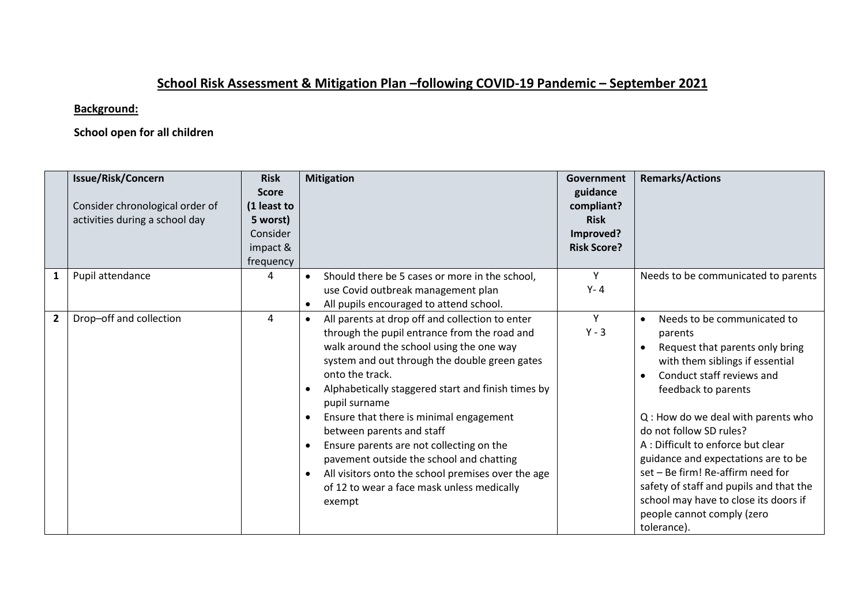## **School Risk Assessment & Mitigation Plan –following COVID-19 Pandemic – September 2021**

## **Background:**

## **School open for all children**

|                | <b>Issue/Risk/Concern</b><br>Consider chronological order of<br>activities during a school day | <b>Risk</b><br><b>Score</b><br>(1 least to<br>5 worst)<br>Consider<br>impact &<br>frequency | <b>Mitigation</b>                                                                                                                                                                                                                                                                                                                                                                                                                                                                                                                                                                 | Government<br>guidance<br>compliant?<br><b>Risk</b><br>Improved?<br><b>Risk Score?</b> | <b>Remarks/Actions</b>                                                                                                                                                                                                                                                                                                                                                                                                                                                                            |
|----------------|------------------------------------------------------------------------------------------------|---------------------------------------------------------------------------------------------|-----------------------------------------------------------------------------------------------------------------------------------------------------------------------------------------------------------------------------------------------------------------------------------------------------------------------------------------------------------------------------------------------------------------------------------------------------------------------------------------------------------------------------------------------------------------------------------|----------------------------------------------------------------------------------------|---------------------------------------------------------------------------------------------------------------------------------------------------------------------------------------------------------------------------------------------------------------------------------------------------------------------------------------------------------------------------------------------------------------------------------------------------------------------------------------------------|
| 1              | Pupil attendance                                                                               | 4                                                                                           | Should there be 5 cases or more in the school,<br>use Covid outbreak management plan<br>All pupils encouraged to attend school.                                                                                                                                                                                                                                                                                                                                                                                                                                                   | Y<br>$Y - 4$                                                                           | Needs to be communicated to parents                                                                                                                                                                                                                                                                                                                                                                                                                                                               |
| $\overline{2}$ | Drop-off and collection                                                                        | 4                                                                                           | All parents at drop off and collection to enter<br>$\bullet$<br>through the pupil entrance from the road and<br>walk around the school using the one way<br>system and out through the double green gates<br>onto the track.<br>Alphabetically staggered start and finish times by<br>pupil surname<br>Ensure that there is minimal engagement<br>between parents and staff<br>Ensure parents are not collecting on the<br>pavement outside the school and chatting<br>All visitors onto the school premises over the age<br>of 12 to wear a face mask unless medically<br>exempt | Y<br>$Y - 3$                                                                           | Needs to be communicated to<br>$\bullet$<br>parents<br>Request that parents only bring<br>with them siblings if essential<br>Conduct staff reviews and<br>feedback to parents<br>Q: How do we deal with parents who<br>do not follow SD rules?<br>A : Difficult to enforce but clear<br>guidance and expectations are to be<br>set - Be firm! Re-affirm need for<br>safety of staff and pupils and that the<br>school may have to close its doors if<br>people cannot comply (zero<br>tolerance). |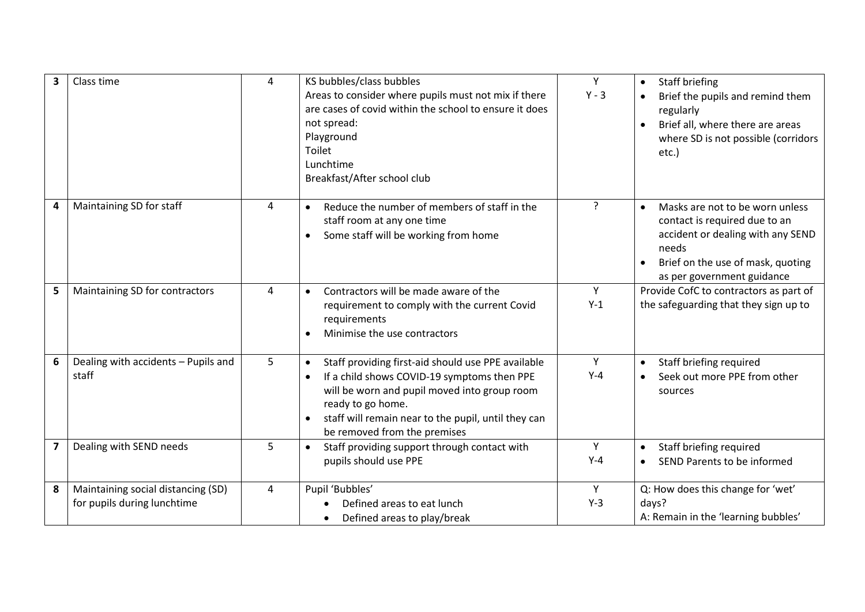| 3                       | Class time                                                        | 4 | KS bubbles/class bubbles<br>Areas to consider where pupils must not mix if there<br>are cases of covid within the school to ensure it does<br>not spread:<br>Playground<br>Toilet<br>Lunchtime<br>Breakfast/After school club                                              | Y<br>$Y - 3$   | Staff briefing<br>Brief the pupils and remind them<br>regularly<br>Brief all, where there are areas<br>where SD is not possible (corridors<br>etc.)                                            |
|-------------------------|-------------------------------------------------------------------|---|----------------------------------------------------------------------------------------------------------------------------------------------------------------------------------------------------------------------------------------------------------------------------|----------------|------------------------------------------------------------------------------------------------------------------------------------------------------------------------------------------------|
| 4                       | Maintaining SD for staff                                          | 4 | Reduce the number of members of staff in the<br>staff room at any one time<br>Some staff will be working from home                                                                                                                                                         | $\overline{?}$ | Masks are not to be worn unless<br>$\bullet$<br>contact is required due to an<br>accident or dealing with any SEND<br>needs<br>Brief on the use of mask, quoting<br>as per government guidance |
| 5                       | Maintaining SD for contractors                                    | 4 | Contractors will be made aware of the<br>$\bullet$<br>requirement to comply with the current Covid<br>requirements<br>Minimise the use contractors                                                                                                                         | Y<br>$Y-1$     | Provide CofC to contractors as part of<br>the safeguarding that they sign up to                                                                                                                |
| 6                       | Dealing with accidents - Pupils and<br>staff                      | 5 | Staff providing first-aid should use PPE available<br>$\bullet$<br>If a child shows COVID-19 symptoms then PPE<br>will be worn and pupil moved into group room<br>ready to go home.<br>staff will remain near to the pupil, until they can<br>be removed from the premises | Y<br>$Y-4$     | Staff briefing required<br>Seek out more PPE from other<br>sources                                                                                                                             |
| $\overline{\mathbf{z}}$ | Dealing with SEND needs                                           | 5 | Staff providing support through contact with<br>$\bullet$<br>pupils should use PPE                                                                                                                                                                                         | Y<br>$Y-4$     | Staff briefing required<br>$\bullet$<br>SEND Parents to be informed                                                                                                                            |
| 8                       | Maintaining social distancing (SD)<br>for pupils during lunchtime | 4 | Pupil 'Bubbles'<br>Defined areas to eat lunch<br>Defined areas to play/break                                                                                                                                                                                               | Y<br>$Y-3$     | Q: How does this change for 'wet'<br>days?<br>A: Remain in the 'learning bubbles'                                                                                                              |